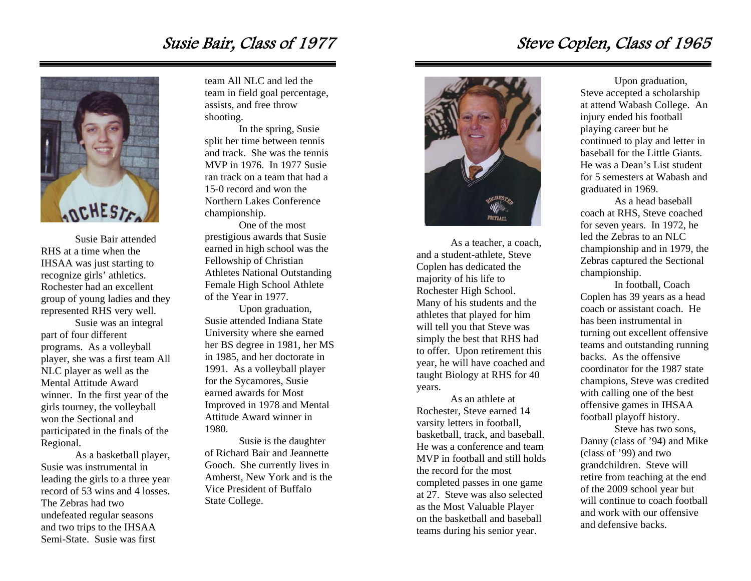### Susie Bair, Class of 1977



Susie Bair attended RHS at a time when the IHSAA was just starting to recognize girls' athletics. Rochester had an excellent group of young ladies and they represented RHS very well.

 Susie was an integral part of four different programs. As a volleyball player, she was a first team All NLC player as well as the Mental Attitude Award winner. In the first year of the girls tourney, the volleyball won the Sectional and participated in the finals of the Regional.

 As a basketball player, Susie was instrumental in leading the girls to a three year record of 53 wins and 4 losses. The Zebras had two undefeated regular seasons and two trips to the IHSAA Semi-State. Susie was first

team All NLC and led the team in field goal percentage, assists, and free throw shooting.

 In the spring, Susie split her time between tennis and track. She was the tennis MVP in 1976. In 1977 Susie ran track on a team that had a 15-0 record and won the Northern Lakes Conference championship.

 One of the most prestigious awards that Susie earned in high school was the Fellowship of Christian Athletes National Outstanding Female High School Athlete of the Year in 1977.

 Upon graduation, Susie attended Indiana State University where she earned her BS degree in 1981, her MS in 1985, and her doctorate in 1991. As a volleyball player for the Sycamores, Susie earned awards for Most Improved in 1978 and Mental Attitude Award winner in 1980.

 Susie is the daughter of Richard Bair and Jeannette Gooch. She currently lives in Amherst, New York and is the Vice President of Buffalo State College.



As a teacher, a coach, and a student-athlete, Steve Coplen has dedicated the majority of his life to Rochester High School. Many of his students and the athletes that played for him will tell you that Steve was simply the best that RHS had to offer. Upon retirement this year, he will have coached and taught Biology at RHS for 40 years.

 As an athlete at Rochester, Steve earned 14 varsity letters in football, basketball, track, and baseball. He was a conference and team MVP in football and still holds the record for the most completed passes in one game at 27. Steve was also selected as the Most Valuable Player on the basketball and baseball teams during his senior year.

### Steve Coplen, Class of 1965

 Upon graduation, Steve accepted a scholarship at attend Wabash College. An injury ended his football playing career but he continued to play and letter in baseball for the Little Giants. He was a Dean's List student for 5 semesters at Wabash and graduated in 1969.

 As a head baseball coach at RHS, Steve coached for seven years. In 1972, he led the Zebras to an NLC championship and in 1979, the Zebras captured the Sectional championship.

 In football, Coach Coplen has 39 years as a head coach or assistant coach. He has been instrumental in turning out excellent offensive teams and outstanding running backs. As the offensive coordinator for the 1987 state champions, Steve was credited with calling one of the best offensive games in IHSAA football playoff history.

 Steve has two sons, Danny (class of '94) and Mike (class of '99) and two grandchildren. Steve will retire from teaching at the end of the 2009 school year but will continue to coach football and work with our offensive and defensive backs.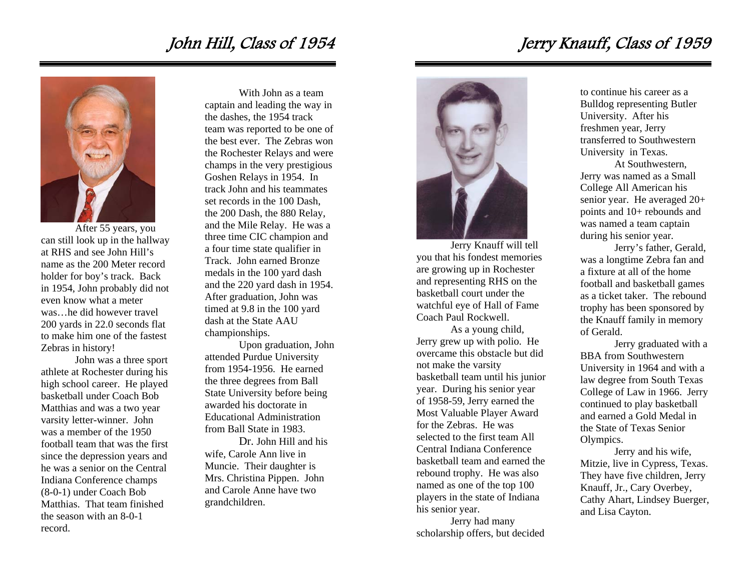## John Hill, Class of 1954



After 55 years, you can still look up in the hallway at RHS and see John Hill's name as the 200 Meter record holder for boy's track. Back in 1954, John probably did not even know what a meter was…he did however travel 200 yards in 22.0 seconds flat to make him one of the fastest Zebras in history!

 John was a three sport athlete at Rochester during his high school career. He played basketball under Coach Bob Matthias and was a two year varsity letter-winner. John was a member of the 1950 football team that was the first since the depression years and he was a senior on the Central Indiana Conference champs (8-0-1) under Coach Bob Matthias. That team finished the season with an 8-0-1 record.

 With John as a team captain and leading the way in the dashes, the 1954 track team was reported to be one of the best ever. The Zebras won the Rochester Relays and were champs in the very prestigious Goshen Relays in 1954. In track John and his teammates set records in the 100 Dash the 200 Dash, the 880 Relay, and the Mile Relay. He was a three time CIC champion and a four time state qualifier in Track. John earned Bronze medals in the 100 yard dash and the 220 yard dash in 1954. After graduation, John was timed at 9.8 in the 100 yard dash at the State AAU championships.

 Upon graduation, John attended Purdue University from 1954-1956. He earned the three degrees from Ball State University before being awarded his doctorate in Educational Administration from Ball State in 1983.

 Dr. John Hill and his wife, Carole Ann live in Muncie. Their daughter is Mrs. Christina Pippen. John and Carole Anne have two grandchildren.



Jerry Knauff will tell you that his fondest memories are growing up in Rochester and representing RHS on the basketball court under the watchful eye of Hall of Fame Coach Paul Rockwell.

As a young child, Jerry grew up with polio. He overcame this obstacle but did not make the varsity basketball team until his junior year. During his senior year of 1958-59, Jerry earned the Most Valuable Player Award for the Zebras. He was selected to the first team All Central Indiana Conference basketball team and earned the rebound trophy. He was also named as one of the top 100 players in the state of Indiana his senior year.

Jerry had many scholarship offers, but decided

to continue his career as a Bulldog representing Butler University. After his freshmen year, Jerry transferred to Southwestern University in Texas.

At Southwestern, Jerry was named as a Small College All American his senior year. He averaged 20+ points and 10+ rebounds and was named a team captain during his senior year.

Jerry's father, Gerald, was a longtime Zebra fan and a fixture at all of the home football and basketball games as a ticket taker. The rebound trophy has been sponsored by the Knauff family in memory of Gerald.

Jerry graduated with a BBA from Southwestern University in 1964 and with a law degree from South Texas College of Law in 1966. Jerry continued to play basketball and earned a Gold Medal in the State of Texas Senior Olympics.

Jerry and his wife, Mitzie, live in Cypress, Texas. They have five children, Jerry Knauff, Jr., Cary Overbey, Cathy Ahart, Lindsey Buerger, and Lisa Cayton.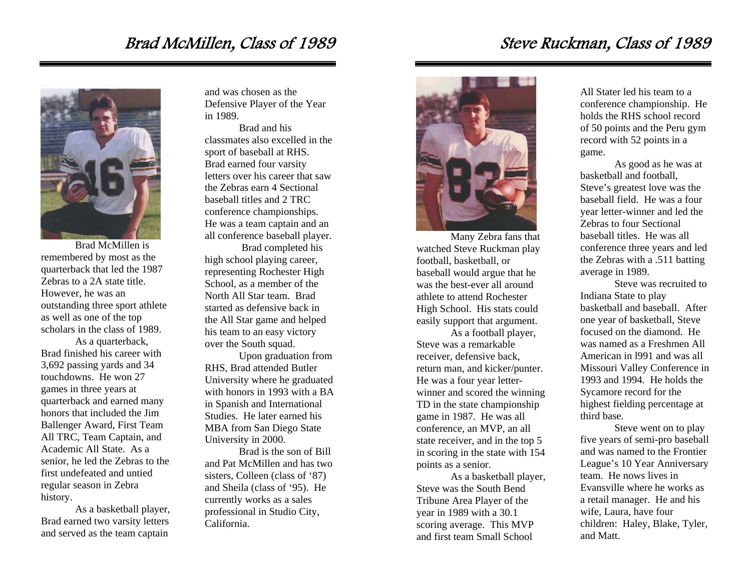#### Brad McMillen, Class of 1989



Brad McMillen is remembered by most as the quarterback that led the 1987 Zebras to a 2A state title. However, he was an outstanding three sport athlete as well as one of the top scholars in the class of 1989. As a quarterback, Brad finished his career with 3,692 passing yards and 34 touchdowns. He won 27 games in three years at quarterback and earned many honors that included the Jim Ballenger Award, First Team All TRC, Team Captain, and Academic All State. As a senior, he led the Zebras to the first undefeated and untied regular season in Zebra history.

As a basketball player, Brad earned two varsity letters and served as the team captain

and was chosen as the Defensive Player of the Year in 1989.

Brad and his classmates also excelled in the sport of baseball at RHS. Brad earned four varsity letters over his career that saw the Zebras earn 4 Sectional baseball titles and 2 TRC conference championships. He was a team captain and an all conference baseball player.

 Brad completed his high school playing career, representing Rochester High School, as a member of the North All Star team. Brad started as defensive back in the All Star game and helped his team to an easy victory over the South squad.

Upon graduation from RHS, Brad attended Butler University where he graduated with honors in 1993 with a BA in Spanish and International Studies. He later earned his MBA from San Diego State University in 2000.

Brad is the son of Bill and Pat McMillen and has two sisters, Colleen (class of '87) and Sheila (class of '95). He currently works as a sales professional in Studio City, California.



Many Zebra fans that watched Steve Ruckman play football, basketball, or baseball would argue that he was the best-ever all around athlete to attend Rochester High School. His stats could easily support that argument.

As a football player, Steve was a remarkable receiver, defensive back, return man, and kicker/punter. He was a four year letterwinner and scored the winning TD in the state championship game in 1987. He was all conference, an MVP, an all state receiver, and in the top 5 in scoring in the state with 154 points as a senior.

As a basketball player, Steve was the South Bend Tribune Area Player of the year in 1989 with a 30.1 scoring average. This MVP and first team Small School

All Stater led his team to a conference championship. He holds the RHS school record of 50 points and the Peru gym record with 52 points in a game.

As good as he was at basketball and football, Steve's greatest love was the baseball field. He was a four year letter-winner and led the Zebras to four Sectional baseball titles. He was all conference three years and led the Zebras with a .511 batting average in 1989.

Steve was recruited to Indiana State to play basketball and baseball. After one year of basketball, Steve focused on the diamond. He was named as a Freshmen All American in l991 and was all Missouri Valley Conference in 1993 and 1994. He holds the Sycamore record for the highest fielding percentage at third base.

Steve went on to play five years of semi-pro baseball and was named to the Frontier League's 10 Year Anniversary team. He nows lives in Evansville where he works as a retail manager. He and his wife, Laura, have four children: Haley, Blake, Tyler, and Matt.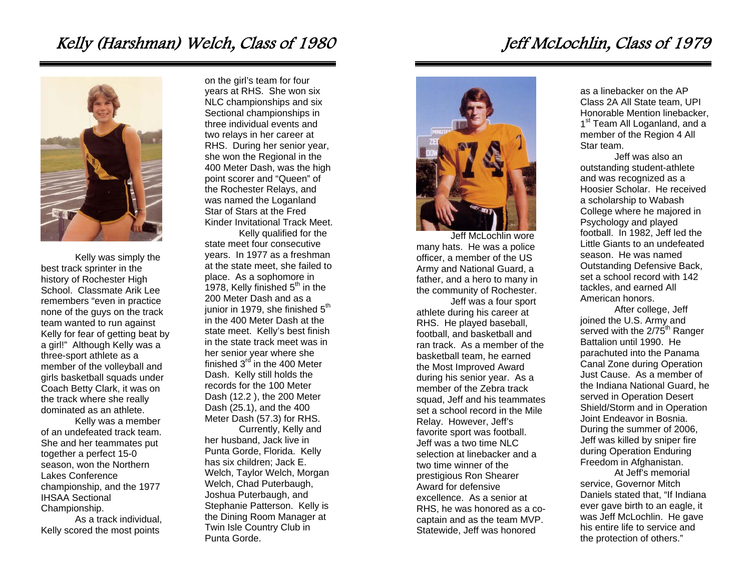## Kelly (Harshman) Welch, Class of 1980



Kelly was simply the best track sprinter in the history of Rochester High School. Classmate Arik Lee remembers "even in practice none of the guys on the track team wanted to run against Kelly for fear of getting beat by a girl!" Although Kelly was a three-sport athlete as a member of the volleyball and girls basketball squads under Coach Betty Clark, it was on the track where she really dominated as an athlete.

 Kelly was a member of an undefeated track team. She and her teammates put together a perfect 15-0 season, won the Northern Lakes Conference championship, and the 1977 IHSAA Sectional Championship.

 As a track individual, Kelly scored the most points

on the girl's team for four years at RHS. She won six NLC championships and six Sectional championships in three individual events and two relays in her career at RHS. During her senior year, she won the Regional in the 400 Meter Dash, was the high point scorer and "Queen" of the Rochester Relays, and was named the Loganland Star of Stars at the Fred Kinder Invitational Track Meet.

Kelly qualified for the state meet four consecutive years. In 1977 as a freshman at the state meet, she failed to place. As a sophomore in 1978, Kelly finished  $5<sup>th</sup>$  in the 200 Meter Dash and as a junior in 1979, she finished  $5<sup>th</sup>$ in the 400 Meter Dash at the state meet. Kelly's best finish in the state track meet was in her senior year where she finished  $3<sup>rd</sup>$  in the 400 Meter Dash. Kelly still holds the records for the 100 Meter Dash (12.2 ), the 200 Meter Dash (25.1), and the 400 Meter Dash (57.3) for RHS.

Currently, Kelly and her husband, Jack live in Punta Gorde, Florida. Kelly has six children; Jack E. Welch, Taylor Welch, Morgan Welch, Chad Puterbaugh, Joshua Puterbaugh, and Stephanie Patterson. Kelly is the Dining Room Manager at Twin Isle Country Club in Punta Gorde.



Jeff McLochlin wore many hats. He was a police officer, a member of the US Army and National Guard, a father, and a hero to many in the community of Rochester.

Jeff was a four sport athlete during his career at RHS. He played baseball, football, and basketball and ran track. As a member of the basketball team, he earned the Most Improved Award during his senior year. As a member of the Zebra track squad, Jeff and his teammates set a school record in the Mile Relay. However, Jeff's favorite sport was football. Jeff was a two time NLC selection at linebacker and a two time winner of the prestigious Ron Shearer Award for defensive excellence. As a senior at RHS, he was honored as a cocaptain and as the team MVP. Statewide, Jeff was honored

as a linebacker on the AP Class 2A All State team, UPI Honorable Mention linebacker, 1<sup>st</sup> Team All Loganland, and a member of the Region 4 All Star team.

Jeff was also an outstanding student-athlete and was recognized as a Hoosier Scholar. He received a scholarship to Wabash College where he majored in Psychology and played football. In 1982, Jeff led the Little Giants to an undefeated season. He was named Outstanding Defensive Back, set a school record with 142 tackles, and earned All American honors.

After college, Jeff joined the U.S. Army and served with the  $2/75<sup>th</sup>$  Ranger Battalion until 1990. He parachuted into the Panama Canal Zone during Operation Just Cause. As a member of the Indiana National Guard, he served in Operation Desert Shield/Storm and in Operation Joint Endeavor in Bosnia. During the summer of 2006, Jeff was killed by sniper fire during Operation Enduring Freedom in Afghanistan.

At Jeff's memorial service, Governor Mitch Daniels stated that, "If Indiana ever gave birth to an eagle, it was Jeff McLochlin. He gave his entire life to service and the protection of others."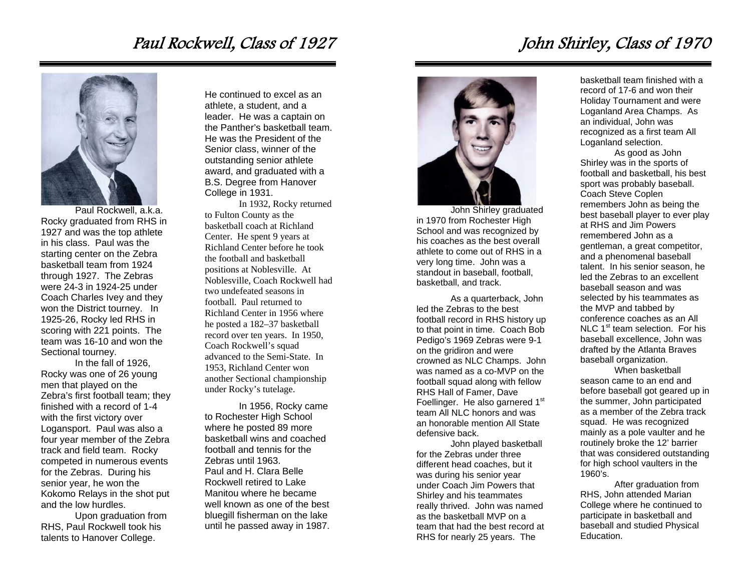### Paul Rockwell, Class of 1927



Paul Rockwell, a.k.a. Rocky graduated from RHS in 1927 and was the top athlete in his class. Paul was the starting center on the Zebra basketball team from 1924 through 1927. The Zebras were 24-3 in 1924-25 under Coach Charles Ivey and they won the District tourney. In 1925-26, Rocky led RHS in scoring with 221 points. The team was 16-10 and won the Sectional tourney.

 In the fall of 1926, Rocky was one of 26 young men that played on the Zebra's first football team; they finished with a record of 1-4 with the first victory over Logansport. Paul was also a four year member of the Zebra track and field team. Rocky competed in numerous events for the Zebras. During his senior year, he won the Kokomo Relays in the shot put and the low hurdles.

 Upon graduation from RHS, Paul Rockwell took his talents to Hanover College.

He continued to excel as an athlete, a student, and a leader. He was a captain on the Panther's basketball team. He was the President of the Senior class, winner of the outstanding senior athlete award, and graduated with a B.S. Degree from Hanover College in 1931.

 In 1932, Rocky returned to Fulton County as the basketball coach at Richland Center. He spent 9 years at Richland Center before he took the football and basketball positions at Noblesville. At Noblesville, Coach Rockwell had two undefeated seasons in football. Paul returned to Richland Center in 1956 where he posted a 182–37 basketball record over ten years. In 1950, Coach Rockwell's squad advanced to the Semi-State. In 1953, Richland Center won another Sectional championship under Rocky's tutelage.

In 1956, Rocky came to Rochester High School where he posted 89 more basketball wins and coached football and tennis for the Zebras until 1963. Paul and H. Clara Belle Rockwell retired to Lake Manitou where he became well known as one of the best bluegill fisherman on the lake until he passed away in 1987.



John Shirley graduated in 1970 from Rochester High School and was recognized by his coaches as the best overall athlete to come out of RHS in a very long time. John was a standout in baseball, football, basketball, and track.

As a quarterback, John led the Zebras to the best football record in RHS history up to that point in time. Coach Bob Pedigo's 1969 Zebras were 9-1 on the gridiron and were crowned as NLC Champs. John was named as a co-MVP on the football squad along with fellow RHS Hall of Famer, Dave Foellinger. He also garnered 1<sup>st</sup> team All NLC honors and was an honorable mention All State defensive back.

John played basketball for the Zebras under three different head coaches, but it was during his senior year under Coach Jim Powers that Shirley and his teammates really thrived. John was named as the basketball MVP on a team that had the best record at RHS for nearly 25 years. The

basketball team finished with a record of 17-6 and won their Holiday Tournament and were Loganland Area Champs. As an individual, John was recognized as a first team All Loganland selection.

As good as John Shirley was in the sports of football and basketball, his best sport was probably baseball. Coach Steve Coplen remembers John as being the best baseball player to ever play at RHS and Jim Powers remembered John as a gentleman, a great competitor, and a phenomenal baseball talent. In his senior season, he led the Zebras to an excellent baseball season and was selected by his teammates as the MVP and tabbed by conference coaches as an All NLC 1<sup>st</sup> team selection. For his baseball excellence, John was drafted by the Atlanta Braves baseball organization.

When basketball season came to an end and before baseball got geared up in the summer, John participated as a member of the Zebra track squad. He was recognized mainly as a pole vaulter and he routinely broke the 12' barrier that was considered outstanding for high school vaulters in the 1960's.

After graduation from RHS, John attended Marian College where he continued to participate in basketball and baseball and studied Physical Education.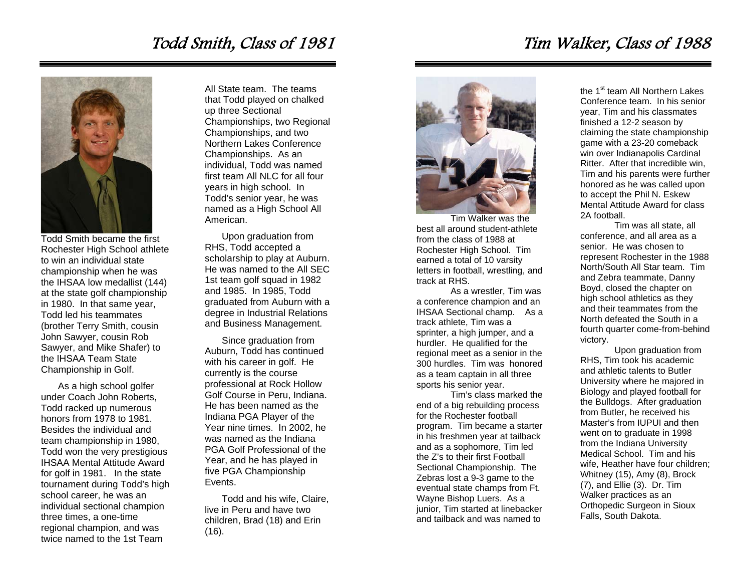# Todd Smith, Class of 1981



Todd Smith became the first Rochester High School athlete to win an individual state championship when he was the IHSAA low medallist (144) at the state golf championship in 1980. In that same year, Todd led his teammates (brother Terry Smith, cousin John Sawyer, cousin Rob Sawyer, and Mike Shafer) to the IHSAA Team State Championship in Golf.

As a high school golfer under Coach John Roberts, Todd racked up numerous honors from 1978 to 1981. Besides the individual and team championship in 1980, Todd won the very prestigious IHSAA Mental Attitude Award for golf in 1981. In the state tournament during Todd's high school career, he was an individual sectional champion three times, a one-time regional champion, and was twice named to the 1st Team

All State team. The teams that Todd played on chalked up three Sectional Championships, two Regional Championships, and two Northern Lakes Conference Championships. As an individual, Todd was named first team All NLC for all four years in high school. In Todd's senior year, he was named as a High School All American.

Upon graduation from RHS, Todd accepted a scholarship to play at Auburn. He was named to the All SEC 1st team golf squad in 1982 and 1985. In 1985, Todd graduated from Auburn with a degree in Industrial Relations and Business Management.

Since graduation from Auburn, Todd has continued with his career in golf. He currently is the course professional at Rock Hollow Golf Course in Peru, Indiana. He has been named as the Indiana PGA Player of the Year nine times. In 2002, he was named as the Indiana PGA Golf Professional of the Year, and he has played in five PGA Championship Events.

Todd and his wife, Claire, live in Peru and have two children, Brad (18) and Erin (16).



Tim Walker was the best all around student-athlete from the class of 1988 at Rochester High School. Tim earned a total of 10 varsity letters in football, wrestling, and track at RHS.

As a wrestler, Tim was a conference champion and an IHSAA Sectional champ. As a track athlete, Tim was a sprinter, a high jumper, and a hurdler. He qualified for the regional meet as a senior in the 300 hurdles. Tim was honored as a team captain in all three sports his senior year.

Tim's class marked the end of a big rebuilding process for the Rochester football program. Tim became a starter in his freshmen year at tailback and as a sophomore, Tim led the Z's to their first Football Sectional Championship. The Zebras lost a 9-3 game to the eventual state champs from Ft. Wayne Bishop Luers. As a junior, Tim started at linebacker and tailback and was named to

the 1<sup>st</sup> team All Northern Lakes Conference team. In his senior year, Tim and his classmates finished a 12-2 season by claiming the state championship game with a 23-20 comeback win over Indianapolis Cardinal Ritter. After that incredible win, Tim and his parents were further honored as he was called upon to accept the Phil N. Eskew Mental Attitude Award for class 2A football.

Tim was all state, all conference, and all area as a senior. He was chosen to represent Rochester in the 1988 North/South All Star team. Tim and Zebra teammate, Danny Boyd, closed the chapter on high school athletics as they and their teammates from the North defeated the South in a fourth quarter come-from-behind victory.

Upon graduation from RHS, Tim took his academic and athletic talents to Butler University where he majored in Biology and played football for the Bulldogs. After graduation from Butler, he received his Master's from IUPUI and then went on to graduate in 1998 from the Indiana University Medical School. Tim and his wife, Heather have four children; Whitney (15), Amy (8), Brock (7), and Ellie (3). Dr. Tim Walker practices as an Orthopedic Surgeon in Sioux Falls, South Dakota.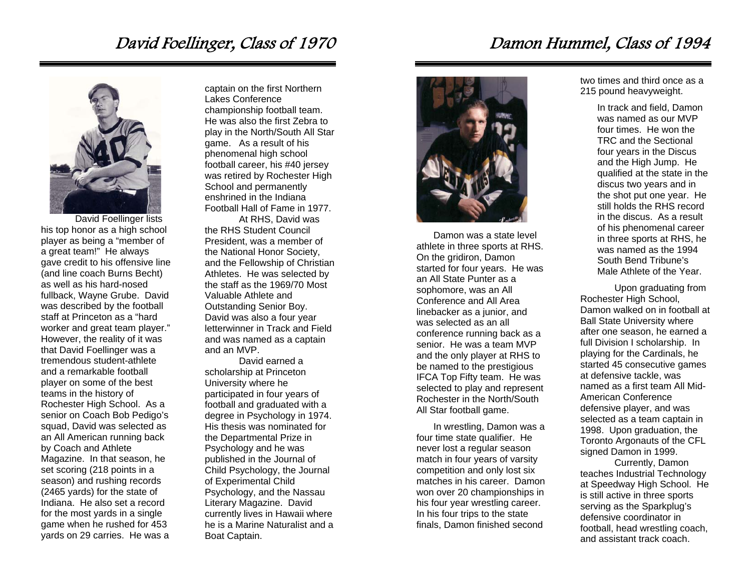### David Foellinger, Class of 1970



David Foellinger lists his top honor as a high school player as being a "member of a great team!" He always gave credit to his offensive line (and line coach Burns Becht) as well as his hard-nosed fullback, Wayne Grube. David was described by the football staff at Princeton as a "hard worker and great team player." However, the reality of it was that David Foellinger was a tremendous student-athlete and a remarkable football player on some of the best teams in the history of Rochester High School. As a senior on Coach Bob Pedigo's squad, David was selected as an All American running back by Coach and Athlete Magazine. In that season, he set scoring (218 points in a season) and rushing records (2465 yards) for the state of Indiana. He also set a record for the most yards in a single game when he rushed for 453 yards on 29 carries. He was a

captain on the first Northern Lakes Conference championship football team. He was also the first Zebra to play in the North/South All Star game. As a result of his phenomenal high school football career, his #40 jersey was retired by Rochester High School and permanently enshrined in the Indiana Football Hall of Fame in 1977.

At RHS, David was the RHS Student Council President, was a member of the National Honor Society, and the Fellowship of Christian Athletes. He was selected by the staff as the 1969/70 Most Valuable Athlete and Outstanding Senior Boy. David was also a four year letterwinner in Track and Field and was named as a captain and an MVP.

David earned a scholarship at Princeton University where he participated in four years of football and graduated with a degree in Psychology in 1974. His thesis was nominated for the Departmental Prize in Psychology and he was published in the Journal of Child Psychology, the Journal of Experimental Child Psychology, and the Nassau Literary Magazine. David currently lives in Hawaii where he is a Marine Naturalist and a Boat Captain.



Damon was a state level athlete in three sports at RHS. On the gridiron, Damon started for four years. He was an All State Punter as a sophomore, was an All Conference and All Area linebacker as a junior, and was selected as an all conference running back as a senior. He was a team MVP and the only player at RHS to be named to the prestigious IFCA Top Fifty team. He was selected to play and represent Rochester in the North/South All Star football game.

In wrestling, Damon was a four time state qualifier. He never lost a regular season match in four years of varsity competition and only lost six matches in his career. Damon won over 20 championships in his four year wrestling career. In his four trips to the state finals, Damon finished second

two times and third once as a 215 pound heavyweight.

> In track and field, Damon was named as our MVP four times. He won the TRC and the Sectional four years in the Discus and the High Jump. He qualified at the state in the discus two years and in the shot put one year. He still holds the RHS record in the discus. As a result of his phenomenal career in three sports at RHS, he was named as the 1994 South Bend Tribune's Male Athlete of the Year.

Upon graduating from Rochester High School, Damon walked on in football at Ball State University where after one season, he earned a full Division I scholarship. In playing for the Cardinals, he started 45 consecutive games at defensive tackle, was named as a first team All Mid-American Conference defensive player, and was selected as a team captain in 1998. Upon graduation, the Toronto Argonauts of the CFL signed Damon in 1999.

Currently, Damon teaches Industrial Technology at Speedway High School. He is still active in three sports serving as the Sparkplug's defensive coordinator in football, head wrestling coach, and assistant track coach.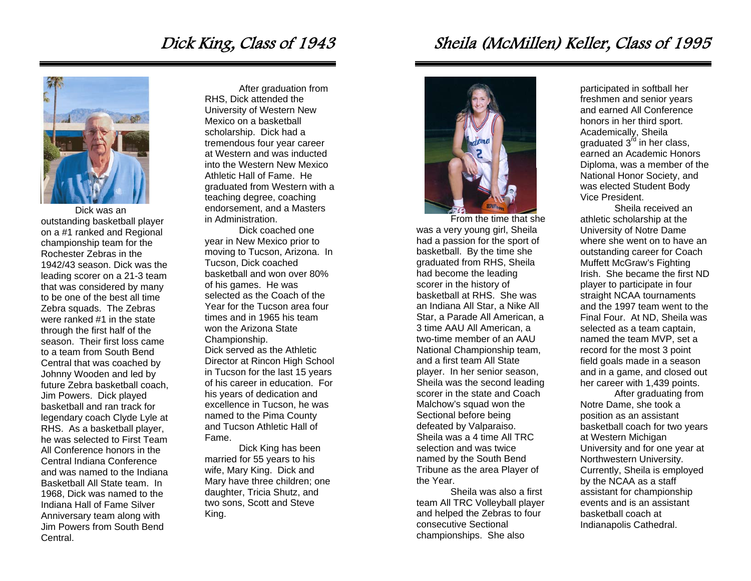## Dick King, Class of 1943



Dick was an outstanding basketball player on a #1 ranked and Regional championship team for the Rochester Zebras in the 1942/43 season. Dick was the leading scorer on a 21-3 team that was considered by many to be one of the best all time Zebra squads. The Zebras were ranked #1 in the state through the first half of the season. Their first loss came to a team from South Bend Central that was coached by Johnny Wooden and led by future Zebra basketball coach, Jim Powers. Dick played basketball and ran track for legendary coach Clyde Lyle at RHS. As a basketball player, he was selected to First Team All Conference honors in the Central Indiana Conference and was named to the Indiana Basketball All State team. In 1968, Dick was named to the Indiana Hall of Fame Silver Anniversary team along with Jim Powers from South Bend **Central** 

After graduation from RHS, Dick attended the University of Western New Mexico on a basketball scholarship. Dick had a tremendous four year career at Western and was inducted into the Western New Mexico Athletic Hall of Fame. He graduated from Western with a teaching degree, coaching endorsement, and a Masters in Administration.

Dick coached one year in New Mexico prior to moving to Tucson, Arizona. In Tucson, Dick coached basketball and won over 80% of his games. He was selected as the Coach of the Year for the Tucson area four times and in 1965 his team won the Arizona State Championship. Dick served as the Athletic

Director at Rincon High School in Tucson for the last 15 years of his career in education. For his years of dedication and excellence in Tucson, he was named to the Pima County and Tucson Athletic Hall of Fame.

 Dick King has been married for 55 years to his wife, Mary King. Dick and Mary have three children; one daughter, Tricia Shutz, and two sons, Scott and Steve King.

Sheila (McMillen) Keller, Class of 1995



From the time that she was a very young girl, Sheila had a passion for the sport of basketball. By the time she graduated from RHS, Sheila had become the leading scorer in the history of basketball at RHS. She was an Indiana All Star, a Nike All Star, a Parade All American, a 3 time AAU All American, a two-time member of an AAU National Championship team, and a first team All State player. In her senior season, Sheila was the second leading scorer in the state and Coach Malchow's squad won the Sectional before being defeated by Valparaiso. Sheila was a 4 time All TRC selection and was twice named by the South Bend Tribune as the area Player of the Year.

 Sheila was also a first team All TRC Volleyball player and helped the Zebras to four consecutive Sectional championships. She also

participated in softball her freshmen and senior years and earned All Conference honors in her third sport. Academically, Sheila graduated  $3<sup>rd</sup>$  in her class, earned an Academic Honors Diploma, was a member of the National Honor Society, and was elected Student Body Vice President.

 Sheila received an athletic scholarship at the University of Notre Dame where she went on to have an outstanding career for Coach Muffett McGraw's Fighting Irish. She became the first ND player to participate in four straight NCAA tournaments and the 1997 team went to the Final Four. At ND, Sheila was selected as a team captain, named the team MVP, set a record for the most 3 point field goals made in a season and in a game, and closed out her career with 1,439 points.

After graduating from Notre Dame, she took a position as an assistant basketball coach for two years at Western Michigan University and for one year at Northwestern University. Currently, Sheila is employed by the NCAA as a staff assistant for championship events and is an assistant basketball coach at Indianapolis Cathedral.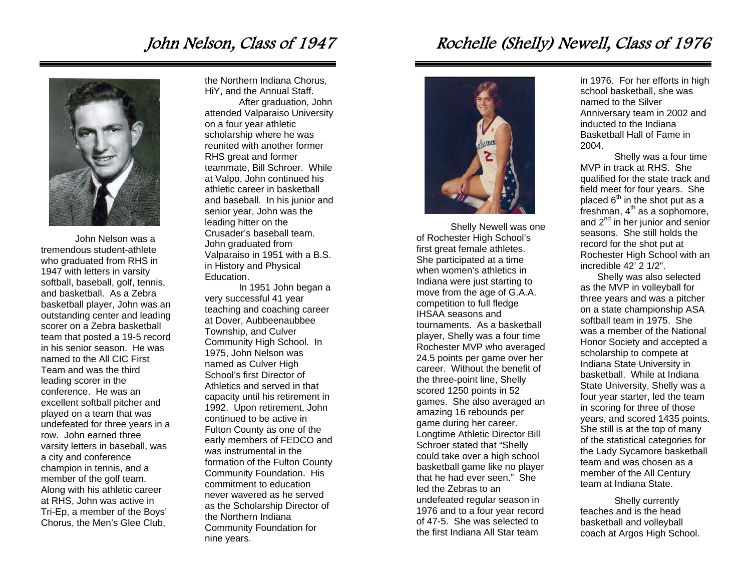### John Nelson, Class of 1947



John Nelson was a tremendous student-athlete who graduated from RHS in 1947 with letters in varsity softball, baseball, golf, tennis, and basketball. As a Zebra basketball player, John was an outstanding center and leading scorer on a Zebra basketball team that posted a 19-5 record in his senior season. He was named to the All CIC First Team and was the third leading scorer in the conference. He was an excellent softball pitcher and played on a team that was undefeated for three years in a row. John earned three varsity letters in baseball, was a city and conference champion in tennis, and a member of the golf team. Along with his athletic career at RHS, John was active in Tri-Ep, a member of the Boys' Chorus, the Men's Glee Club,

the Northern Indiana Chorus, HiY, and the Annual Staff. After graduation, John attended Valparaiso University

on a four year athletic scholarship where he was reunited with another former RHS great and former teammate, Bill Schroer. While at Valpo, John continued his athletic career in basketball and baseball. In his junior and senior year, John was the leading hitter on the Crusader's baseball team. John graduated from Valparaiso in 1951 with a B.S. in History and Physical Education.

In 1951 John began a very successful 41 year teaching and coaching career at Dover, Aubbeenaubbee Township, and Culver Community High School. In 1975, John Nelson was named as Culver High School's first Director of Athletics and served in that capacity until his retirement in 1992. Upon retirement, John continued to be active in Fulton County as one of the early members of FEDCO and was instrumental in the formation of the Fulton County Community Foundation. His commitment to education never wavered as he served as the Scholarship Director of the Northern Indiana Community Foundation for nine years.

# Rochelle (Shelly) Newell, Class of 1976



Shelly Newell was one of Rochester High School's first great female athletes. She participated at a time when women's athletics in Indiana were just starting to move from the age of G.A.A. competition to full fledge IHSAA seasons and tournaments. As a basketball player, Shelly was a four time Rochester MVP who averaged 24.5 points per game over her career. Without the benefit of the three-point line, Shelly scored 1250 points in 52 games. She also averaged an amazing 16 rebounds per game during her career. Longtime Athletic Director Bill Schroer stated that "Shelly could take over a high school basketball game like no player that he had ever seen." She led the Zebras to an undefeated regular season in 1976 and to a four year record of 47-5. She was selected to the first Indiana All Star team

in 1976. For her efforts in high school basketball, she was named to the Silver Anniversary team in 2002 and inducted to the Indiana Basketball Hall of Fame in 2004.

Shelly was a four time MVP in track at RHS. She qualified for the state track and field meet for four years. She placed  $6<sup>th</sup>$  in the shot put as a  ${\rm freshman}$ ,  $4^{\rm th}$  as a sophomore, and  $2^{nd}$  in her junior and senior seasons. She still holds the record for the shot put at Rochester High School with an incredible 42' 2 1/2".

Shelly was also selected as the MVP in volleyball for three years and was a pitcher on a state championship ASA softball team in 1975. She was a member of the National Honor Society and accepted a scholarship to compete at Indiana State University in basketball. While at Indiana State University, Shelly was a four year starter, led the team in scoring for three of those years, and scored 1435 points. She still is at the top of many of the statistical categories for the Lady Sycamore basketball team and was chosen as a member of the All Century team at Indiana State.

Shelly currently teaches and is the head basketball and volleyball coach at Argos High School.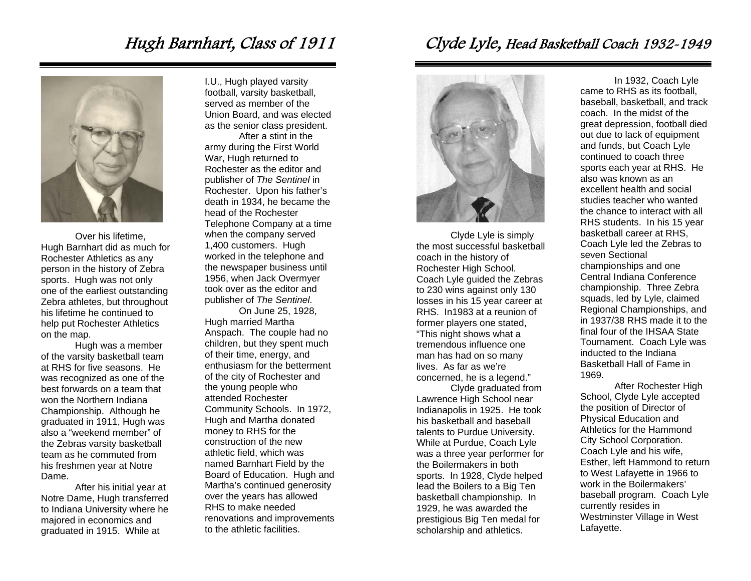### Hugh Barnhart, Class of 1911



Over his lifetime, Hugh Barnhart did as much for Rochester Athletics as any person in the history of Zebra sports. Hugh was not only one of the earliest outstanding Zebra athletes, but throughout his lifetime he continued to help put Rochester Athletics on the map.

 Hugh was a member of the varsity basketball team at RHS for five seasons. He was recognized as one of the best forwards on a team that won the Northern Indiana Championship. Although he graduated in 1911, Hugh was also a "weekend member" of the Zebras varsity basketball team as he commuted from his freshmen year at Notre Dame.

 After his initial year at Notre Dame, Hugh transferred to Indiana University where he majored in economics and graduated in 1915. While at

I.U., Hugh played varsity football, varsity basketball, served as member of the Union Board, and was elected as the senior class president.

 After a stint in the army during the First World War, Hugh returned to Rochester as the editor and publisher of *The Sentinel* in Rochester. Upon his father's death in 1934, he became the head of the Rochester Telephone Company at a time when the company served 1,400 customers. Hugh worked in the telephone and the newspaper business until 1956, when Jack Overmyer took over as the editor and publisher of *The Sentinel*.

 On June 25, 1928, Hugh married Martha Anspach. The couple had no children, but they spent much of their time, energy, and enthusiasm for the betterment of the city of Rochester and the young people who attended Rochester Community Schools. In 1972, Hugh and Martha donated money to RHS for the construction of the new athletic field, which was named Barnhart Field by the Board of Education. Hugh and Martha's continued generosity over the years has allowed RHS to make needed renovations and improvements to the athletic facilities.

#### Clyde Lyle, Head Basketball Coach 1932-1949



Clyde Lyle is simply the most successful basketball coach in the history of Rochester High School. Coach Lyle guided the Zebras to 230 wins against only 130 losses in his 15 year career at RHS. In1983 at a reunion of former players one stated, "This night shows what a tremendous influence one man has had on so many lives. As far as we're concerned, he is a legend."

Clyde graduated from Lawrence High School near Indianapolis in 1925. He took his basketball and baseball talents to Purdue University. While at Purdue, Coach Lyle was a three year performer for the Boilermakers in both sports. In 1928, Clyde helped lead the Boilers to a Big Ten basketball championship. In 1929, he was awarded the prestigious Big Ten medal for scholarship and athletics.

In 1932, Coach Lyle came to RHS as its football, baseball, basketball, and track coach. In the midst of the great depression, football died out due to lack of equipment and funds, but Coach Lyle continued to coach three sports each year at RHS. He also was known as an excellent health and social studies teacher who wanted the chance to interact with all RHS students. In his 15 year basketball career at RHS, Coach Lyle led the Zebras to seven Sectional championships and one Central Indiana Conference championship. Three Zebra squads, led by Lyle, claimed Regional Championships, and in 1937/38 RHS made it to the final four of the IHSAA State Tournament. Coach Lyle was inducted to the Indiana Basketball Hall of Fame in 1969.

After Rochester High School, Clyde Lyle accepted the position of Director of Physical Education and Athletics for the Hammond City School Corporation. Coach Lyle and his wife, Esther, left Hammond to return to West Lafayette in 1966 to work in the Boilermakers' baseball program. Coach Lyle currently resides in Westminster Village in West Lafayette.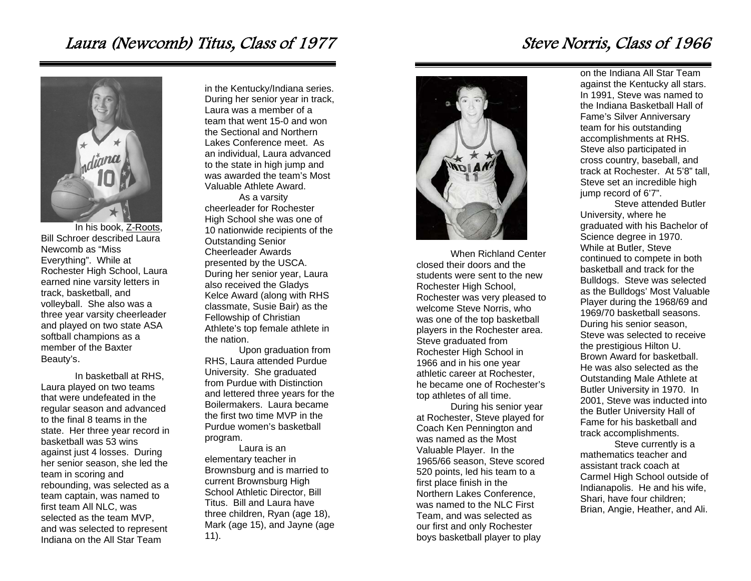## Laura (Newcomb) Titus, Class of 1977



In his book, Z-Roots, Bill Schroer described Laura Newcomb as "Miss Everything". While at Rochester High School, Laura earned nine varsity letters in track, basketball, and volleyball. She also was a three year varsity cheerleader and played on two state ASA softball champions as a member of the Baxter Beauty's.

 In basketball at RHS, Laura played on two teams that were undefeated in the regular season and advanced to the final 8 teams in the state. Her three year record in basketball was 53 wins against just 4 losses. During her senior season, she led the team in scoring and rebounding, was selected as a team captain, was named to first team All NLC, was selected as the team MVP, and was selected to represent Indiana on the All Star Team

in the Kentucky/Indiana series. During her senior year in track, Laura was a member of a team that went 15-0 and won the Sectional and Northern Lakes Conference meet. As an individual, Laura advanced to the state in high jump and was awarded the team's Most Valuable Athlete Award.

 As a varsity cheerleader for Rochester High School she was one of 10 nationwide recipients of the Outstanding Senior Cheerleader Awards presented by the USCA. During her senior year, Laura also received the Gladys Kelce Award (along with RHS classmate, Susie Bair) as the Fellowship of Christian Athlete's top female athlete in the nation.

 Upon graduation from RHS, Laura attended Purdue University. She graduated from Purdue with Distinction and lettered three years for the Boilermakers. Laura became the first two time MVP in the Purdue women's basketball program.

Laura is an elementary teacher in Brownsburg and is married to current Brownsburg High School Athletic Director, Bill Titus. Bill and Laura have three children, Ryan (age 18), Mark (age 15), and Jayne (age 11).



When Richland Center closed their doors and the students were sent to the new Rochester High School, Rochester was very pleased to welcome Steve Norris, who was one of the top basketball players in the Rochester area. Steve graduated from Rochester High School in 1966 and in his one year athletic career at Rochester, he became one of Rochester's top athletes of all time.

During his senior year at Rochester, Steve played for Coach Ken Pennington and was named as the Most Valuable Player. In the 1965/66 season, Steve scored 520 points, led his team to a first place finish in the Northern Lakes Conference, was named to the NLC First Team, and was selected as our first and only Rochester boys basketball player to play

on the Indiana All Star Team against the Kentucky all stars. In 1991, Steve was named to the Indiana Basketball Hall of Fame's Silver Anniversary team for his outstanding accomplishments at RHS. Steve also participated in cross country, baseball, and track at Rochester. At 5'8" tall, Steve set an incredible high jump record of 6'7".

Steve attended Butler University, where he graduated with his Bachelor of Science degree in 1970. While at Butler, Steve continued to compete in both basketball and track for the Bulldogs. Steve was selected as the Bulldogs' Most Valuable Player during the 1968/69 and 1969/70 basketball seasons. During his senior season, Steve was selected to receive the prestigious Hilton U. Brown Award for basketball. He was also selected as the Outstanding Male Athlete at Butler University in 1970. In 2001, Steve was inducted into the Butler University Hall of Fame for his basketball and track accomplishments.

Steve currently is a mathematics teacher and assistant track coach at Carmel High School outside of Indianapolis. He and his wife, Shari, have four children; Brian, Angie, Heather, and Ali.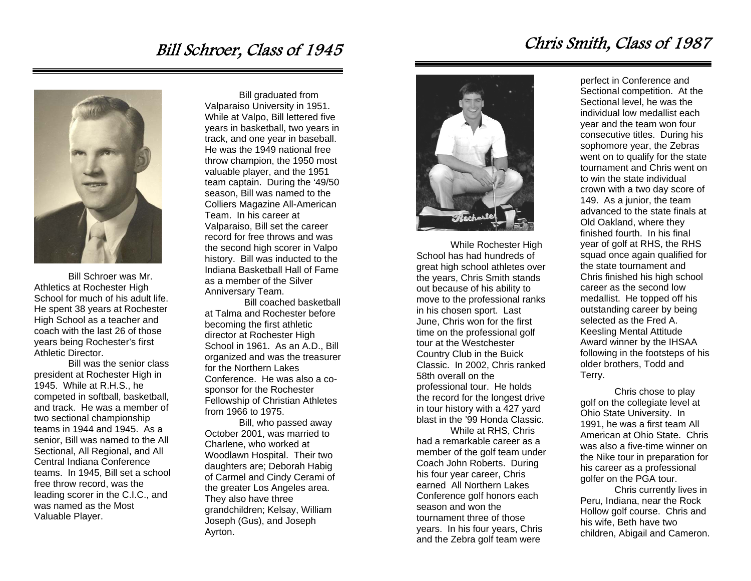#### Bill Schroer, Class of 1945



Bill Schroer was Mr. Athletics at Rochester High School for much of his adult life. He spent 38 years at Rochester High School as a teacher and coach with the last 26 of those years being Rochester's first Athletic Director.

 Bill was the senior class president at Rochester High in 1945. While at R.H.S., he competed in softball, basketball, and track. He was a member of two sectional championship teams in 1944 and 1945. As a senior, Bill was named to the All Sectional, All Regional, and All Central Indiana Conference teams. In 1945, Bill set a school free throw record, was the leading scorer in the C.I.C., and was named as the Most Valuable Player.

 Bill graduated from Valparaiso University in 1951. While at Valpo, Bill lettered five years in basketball, two years in track, and one year in baseball. He was the 1949 national free throw champion, the 1950 most valuable player, and the 1951 team captain. During the '49/50 season, Bill was named to the Colliers Magazine All-American Team. In his career at Valparaiso, Bill set the career record for free throws and was the second high scorer in Valpo history. Bill was inducted to the Indiana Basketball Hall of Fame as a member of the Silver Anniversary Team.

 Bill coached basketball at Talma and Rochester before becoming the first athletic director at Rochester High School in 1961. As an A.D., Bill organized and was the treasurer for the Northern Lakes Conference. He was also a cosponsor for the Rochester Fellowship of Christian Athletes from 1966 to 1975.

 Bill, who passed away October 2001, was married to Charlene, who worked at Woodlawn Hospital. Their two daughters are; Deborah Habig of Carmel and Cindy Cerami of the greater Los Angeles area. They also have three grandchildren; Kelsay, William Joseph (Gus), and Joseph Ayrton.



 While Rochester High School has had hundreds of great high school athletes over the years, Chris Smith stands out because of his ability to move to the professional ranks in his chosen sport. Last June, Chris won for the first time on the professional golf tour at the Westchester Country Club in the Buick Classic. In 2002, Chris ranked 58th overall on the professional tour. He holds the record for the longest drive in tour history with a 427 yard blast in the '99 Honda Classic.

 While at RHS, Chris had a remarkable career as a member of the golf team under Coach John Roberts. During his four year career, Chris earned All Northern Lakes Conference golf honors each season and won the tournament three of those years. In his four years, Chris and the Zebra golf team were

Chris Smith, Class of 1987

perfect in Conference and Sectional competition. At the Sectional level, he was the individual low medallist each year and the team won four consecutive titles. During his sophomore year, the Zebras went on to qualify for the state tournament and Chris went on to win the state individual crown with a two day score of 149. As a junior, the team advanced to the state finals at Old Oakland, where they finished fourth. In his final year of golf at RHS, the RHS squad once again qualified for the state tournament and Chris finished his high school career as the second low medallist. He topped off his outstanding career by being selected as the Fred A. Keesling Mental Attitude Award winner by the IHSAA following in the footsteps of his older brothers, Todd and Terry.

 Chris chose to play golf on the collegiate level at Ohio State University. In 1991, he was a first team All American at Ohio State. Chris was also a five-time winner on the Nike tour in preparation for his career as a professional golfer on the PGA tour.

 Chris currently lives in Peru, Indiana, near the Rock Hollow golf course. Chris and his wife, Beth have two children, Abigail and Cameron.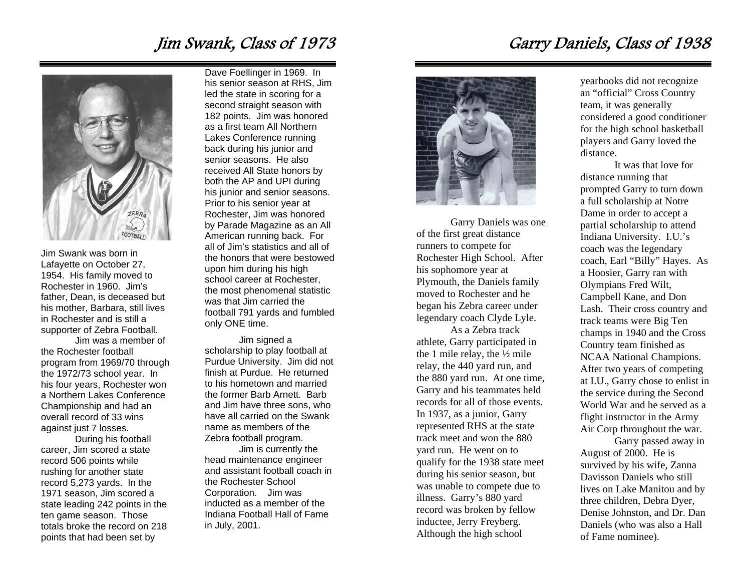### Jim Swank, Class of 1973



Jim Swank was born in Lafayette on October 27, 1954. His family moved to Rochester in 1960. Jim's father, Dean, is deceased but his mother, Barbara, still lives in Rochester and is still a supporter of Zebra Football.

 Jim was a member of the Rochester football program from 1969/70 through the 1972/73 school year. In his four years, Rochester won a Northern Lakes Conference Championship and had an overall record of 33 wins against just 7 losses.

 During his football career, Jim scored a state record 506 points while rushing for another state record 5,273 yards. In the 1971 season, Jim scored a state leading 242 points in the ten game season. Those totals broke the record on 218 points that had been set by

Dave Foellinger in 1969. In his senior season at RHS, Jim led the state in scoring for a second straight season with 182 points. Jim was honored as a first team All Northern Lakes Conference running back during his junior and senior seasons. He also received All State honors by both the AP and UPI during his junior and senior seasons. Prior to his senior year at Rochester, Jim was honored by Parade Magazine as an All American running back. For all of Jim's statistics and all of the honors that were bestowed upon him during his high school career at Rochester, the most phenomenal statistic was that Jim carried the football 791 yards and fumbled only ONE time.

 Jim signed a scholarship to play football at Purdue University. Jim did not finish at Purdue. He returned to his hometown and married the former Barb Arnett. Barb and Jim have three sons, who have all carried on the Swank name as members of the Zebra football program.

Jim is currently the head maintenance engineer and assistant football coach in the Rochester School Corporation. Jim was inducted as a member of the Indiana Football Hall of Fame in July, 2001.

### Garry Daniels, Class of 1938



Garry Daniels was one of the first great distance runners to compete for Rochester High School. After his sophomore year at Plymouth, the Daniels family moved to Rochester and he began his Zebra career under legendary coach Clyde Lyle.

 As a Zebra track athlete, Garry participated in the 1 mile relay, the ½ mile relay, the 440 yard run, and the 880 yard run. At one time, Garry and his teammates held records for all of those events. In 1937, as a junior, Garry represented RHS at the state track meet and won the 880 yard run. He went on to qualify for the 1938 state meet during his senior season, but was unable to compete due to illness. Garry's 880 yard record was broken by fellow inductee, Jerry Freyberg. Although the high school

yearbooks did not recognize an "official" Cross Country team, it was generally considered a good conditioner for the high school basketball players and Garry loved the distance.

 It was that love for distance running that prompted Garry to turn down a full scholarship at Notre Dame in order to accept a partial scholarship to attend Indiana University. I.U.'s coach was the legendary coach, Earl "Billy" Hayes. As a Hoosier, Garry ran with Olympians Fred Wilt, Campbell Kane, and Don Lash. Their cross country and track teams were Big Ten champs in 1940 and the Cross Country team finished as NCAA National Champions. After two years of competing at I.U., Garry chose to enlist in the service during the Second World War and he served as a flight instructor in the Army Air Corp throughout the war.

 Garry passed away in August of 2000. He is survived by his wife, Zanna Davisson Daniels who still lives on Lake Manitou and by three children, Debra Dyer, Denise Johnston, and Dr. Dan Daniels (who was also a Hall of Fame nominee).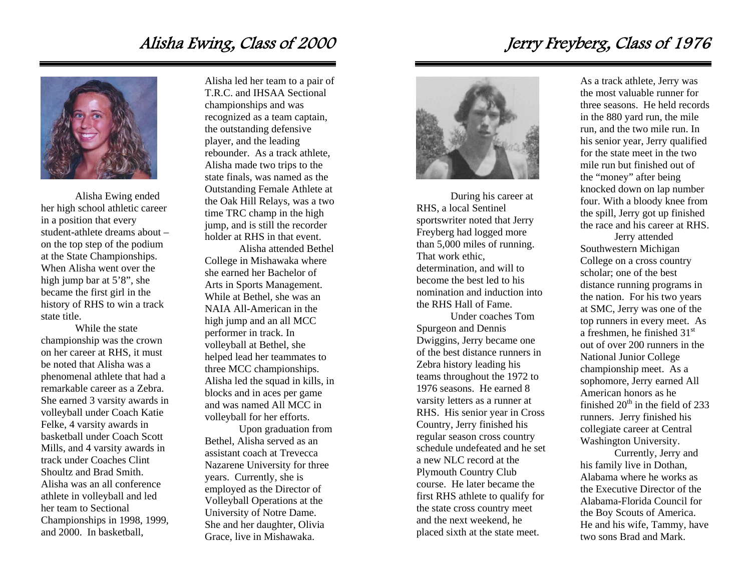### Alisha Ewing, Class of 2000



 Alisha Ewing ended her high school athletic career in a position that every student-athlete dreams about – on the top step of the podium at the State Championships. When Alisha went over the high jump bar at 5'8", she became the first girl in the history of RHS to win a track state title.

While the state championship was the crown on her career at RHS, it must be noted that Alisha was a phenomenal athlete that had a remarkable career as a Zebra. She earned 3 varsity awards in volleyball under Coach Katie Felke, 4 varsity awards in basketball under Coach Scott Mills, and 4 varsity awards in track under Coaches Clint Shoultz and Brad Smith. Alisha was an all conference athlete in volleyball and led her team to Sectional Championships in 1998, 1999, and 2000. In basketball,

Alisha led her team to a pair of T.R.C. and IHSAA Sectional championships and was recognized as a team captain, the outstanding defensive player, and the leading rebounder. As a track athlete, Alisha made two trips to the state finals, was named as the Outstanding Female Athlete at the Oak Hill Relays, was a two time TRC champ in the high jump, and is still the recorder holder at RHS in that event.

Alisha attended Bethel College in Mishawaka where she earned her Bachelor of Arts in Sports Management. While at Bethel, she was an NAIA All-American in the high jump and an all MCC performer in track. In volleyball at Bethel, she helped lead her teammates to three MCC championships. Alisha led the squad in kills, in blocks and in aces per game and was named All MCC in volleyball for her efforts.

Upon graduation from Bethel, Alisha served as an assistant coach at Trevecca Nazarene University for three years. Currently, she is employed as the Director of Volleyball Operations at the University of Notre Dame. She and her daughter, Olivia Grace, live in Mishawaka.



During his career at RHS, a local Sentinel sportswriter noted that Jerry Freyberg had logged more than 5,000 miles of running. That work ethic, determination, and will to become the best led to his nomination and induction into the RHS Hall of Fame.

 Under coaches Tom Spurgeon and Dennis Dwiggins, Jerry became one of the best distance runners in Zebra history leading his teams throughout the 1972 to 1976 seasons. He earned 8 varsity letters as a runner at RHS. His senior year in Cross Country, Jerry finished his regular season cross country schedule undefeated and he set a new NLC record at the Plymouth Country Club course. He later became the first RHS athlete to qualify for the state cross country meet and the next weekend, he placed sixth at the state meet.

Jerry Freyberg, Class of 1976

As a track athlete, Jerry was the most valuable runner for three seasons. He held records in the 880 yard run, the mile run, and the two mile run. In his senior year, Jerry qualified for the state meet in the two mile run but finished out of the "money" after being knocked down on lap number four. With a bloody knee from the spill, Jerry got up finished the race and his career at RHS.

 Jerry attended Southwestern Michigan College on a cross country scholar; one of the best distance running programs in the nation. For his two years at SMC, Jerry was one of the top runners in every meet. As a freshmen, he finished  $31<sup>st</sup>$ out of over 200 runners in the National Junior College championship meet. As a sophomore, Jerry earned All American honors as he finished  $20<sup>th</sup>$  in the field of 233 runners. Jerry finished his collegiate career at Central Washington University.

 Currently, Jerry and his family live in Dothan, Alabama where he works as the Executive Director of the Alabama-Florida Council for the Boy Scouts of America. He and his wife, Tammy, have two sons Brad and Mark.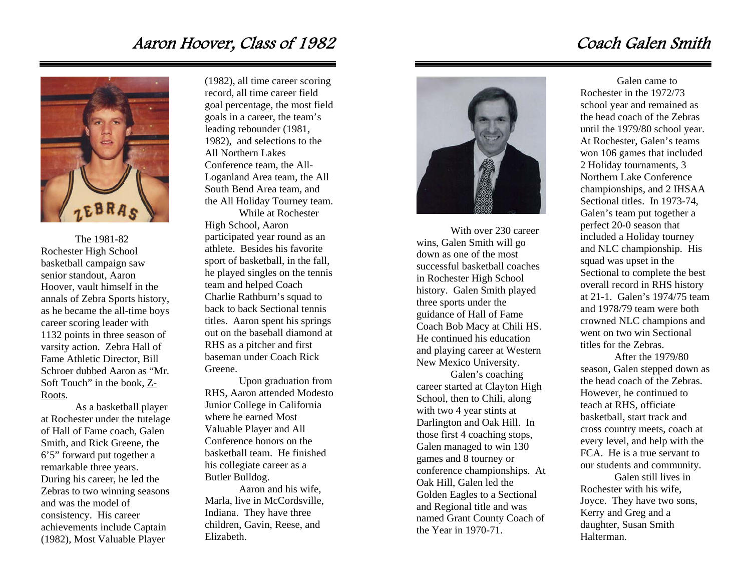#### Aaron Hoover, Class of 1982



The 1981-82 Rochester High School basketball campaign saw senior standout, Aaron Hoover, vault himself in the annals of Zebra Sports history, as he became the all-time boys career scoring leader with 1132 points in three season of varsity action. Zebra Hall of Fame Athletic Director, Bill Schroer dubbed Aaron as "Mr. Soft Touch" in the book,  $Z$ -Roots.

As a basketball player at Rochester under the tutelage of Hall of Fame coach, Galen Smith, and Rick Greene, the 6'5" forward put together a remarkable three years. During his career, he led the Zebras to two winning seasons and was the model of consistency. His career achievements include Captain (1982), Most Valuable Player

(1982), all time career scoring record, all time career field goal percentage, the most field goals in a career, the team's leading rebounder (1981, 1982), and selections to the All Northern Lakes Conference team, the All-Loganland Area team, the All South Bend Area team, and the All Holiday Tourney team.

While at Rochester High School, Aaron participated year round as an athlete. Besides his favorite sport of basketball, in the fall, he played singles on the tennis team and helped Coach Charlie Rathburn's squad to back to back Sectional tennis titles. Aaron spent his springs out on the baseball diamond at RHS as a pitcher and first baseman under Coach Rick Greene.

Upon graduation from RHS, Aaron attended Modesto Junior College in California where he earned Most Valuable Player and All Conference honors on the basketball team. He finished his collegiate career as a Butler Bulldog.

Aaron and his wife, Marla, live in McCordsville, Indiana. They have three children, Gavin, Reese, and Elizabeth.



With over 230 career wins, Galen Smith will go down as one of the most successful basketball coaches in Rochester High School history. Galen Smith played three sports under the guidance of Hall of Fame Coach Bob Macy at Chili HS. He continued his education and playing career at Western New Mexico University.

Galen's coaching career started at Clayton High School, then to Chili, along with two 4 year stints at Darlington and Oak Hill. In those first 4 coaching stops, Galen managed to win 130 games and 8 tourney or conference championships. At Oak Hill, Galen led the Golden Eagles to a Sectional and Regional title and was named Grant County Coach of the Year in 1970-71.

#### Coach Galen Smith

 Galen came to Rochester in the 1972/73 school year and remained as the head coach of the Zebras until the 1979/80 school year. At Rochester, Galen's teams won 106 games that included 2 Holiday tournaments, 3 Northern Lake Conference championships, and 2 IHSAA Sectional titles. In 1973-74, Galen's team put together a perfect 20-0 season that included a Holiday tourney and NLC championship. His squad was upset in the Sectional to complete the best overall record in RHS history at 21-1. Galen's 1974/75 team and 1978/79 team were both crowned NLC champions and went on two win Sectional titles for the Zebras.

After the 1979/80 season, Galen stepped down as the head coach of the Zebras. However, he continued to teach at RHS, officiate basketball, start track and cross country meets, coach at every level, and help with the FCA. He is a true servant to our students and community.

Galen still lives in Rochester with his wife, Joyce. They have two sons, Kerry and Greg and a daughter, Susan Smith Halterman.